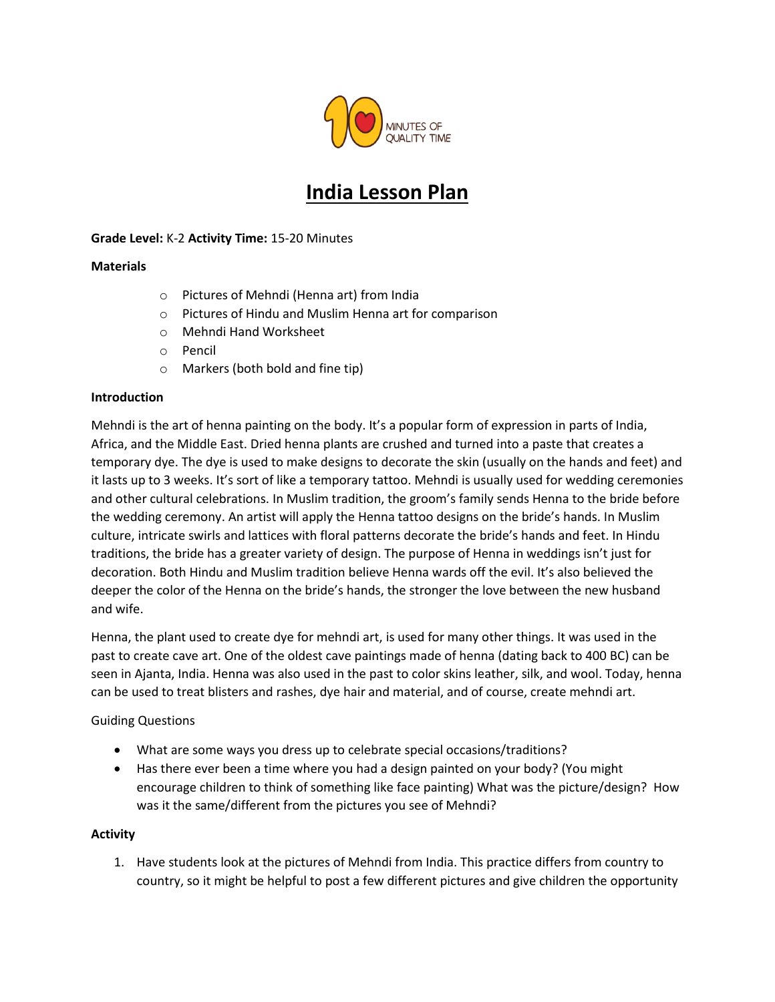

# **India Lesson Plan**

## **Grade Level:** K-2 **Activity Time:** 15-20 Minutes

### **Materials**

- o Pictures of Mehndi (Henna art) from India
- o Pictures of Hindu and Muslim Henna art for comparison
- o Mehndi Hand Worksheet
- o Pencil
- o Markers (both bold and fine tip)

### **Introduction**

Mehndi is the art of henna painting on the body. It's a popular form of expression in parts of India, Africa, and the Middle East. Dried henna plants are crushed and turned into a paste that creates a temporary dye. The dye is used to make designs to decorate the skin (usually on the hands and feet) and it lasts up to 3 weeks. It's sort of like a temporary tattoo. Mehndi is usually used for wedding ceremonies and other cultural celebrations. In Muslim tradition, the groom's family sends Henna to the bride before the wedding ceremony. An artist will apply the Henna tattoo designs on the bride's hands. In Muslim culture, intricate swirls and lattices with floral patterns decorate the bride's hands and feet. In Hindu traditions, the bride has a greater variety of design. The purpose of Henna in weddings isn't just for decoration. Both Hindu and Muslim tradition believe Henna wards off the evil. It's also believed the deeper the color of the Henna on the bride's hands, the stronger the love between the new husband and wife.

Henna, the plant used to create dye for mehndi art, is used for many other things. It was used in the past to create cave art. One of the oldest cave paintings made of henna (dating back to 400 BC) can be seen in Ajanta, India. Henna was also used in the past to color skins leather, silk, and wool. Today, henna can be used to treat blisters and rashes, dye hair and material, and of course, create mehndi art.

## Guiding Questions

- What are some ways you dress up to celebrate special occasions/traditions?
- Has there ever been a time where you had a design painted on your body? (You might encourage children to think of something like face painting) What was the picture/design? How was it the same/different from the pictures you see of Mehndi?

#### **Activity**

1. Have students look at the pictures of Mehndi from India. This practice differs from country to country, so it might be helpful to post a few different pictures and give children the opportunity